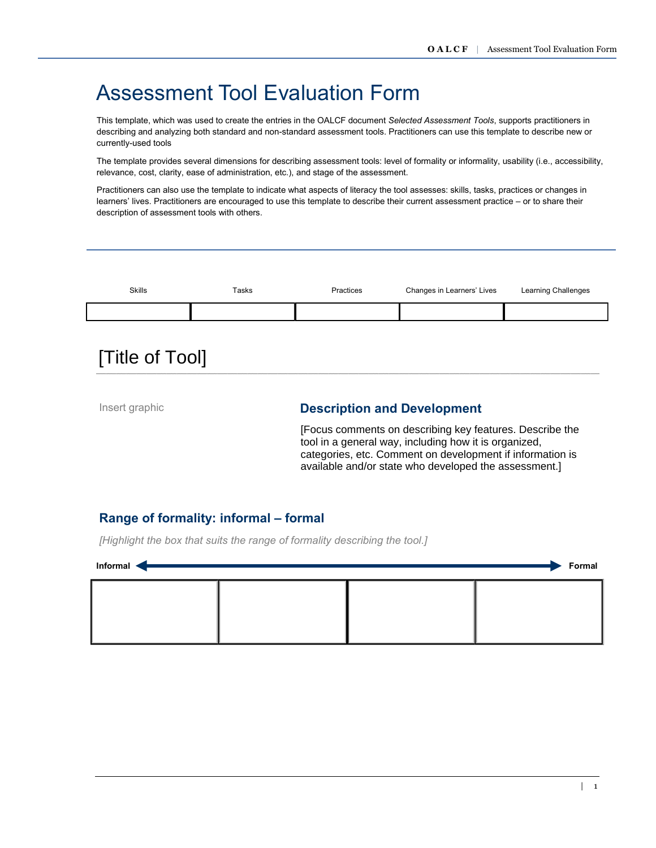# Assessment Tool Evaluation Form

This template, which was used to create the entries in the OALCF document *Selected Assessment Tools*, supports practitioners in describing and analyzing both standard and non-standard assessment tools. Practitioners can use this template to describe new or currently-used tools

The template provides several dimensions for describing assessment tools: level of formality or informality, usability (i.e., accessibility, relevance, cost, clarity, ease of administration, etc.), and stage of the assessment.

Practitioners can also use the template to indicate what aspects of literacy the tool assesses: skills, tasks, practices or changes in learners' lives. Practitioners are encouraged to use this template to describe their current assessment practice – or to share their description of assessment tools with others.



# [Title of Tool]

# Insert graphic **Description and Development**

[Focus comments on describing key features. Describe the tool in a general way, including how it is organized, categories, etc. Comment on development if information is available and/or state who developed the assessment.]

# **Range of formality: informal – formal**

*[Highlight the box that suits the range of formality describing the tool.]*